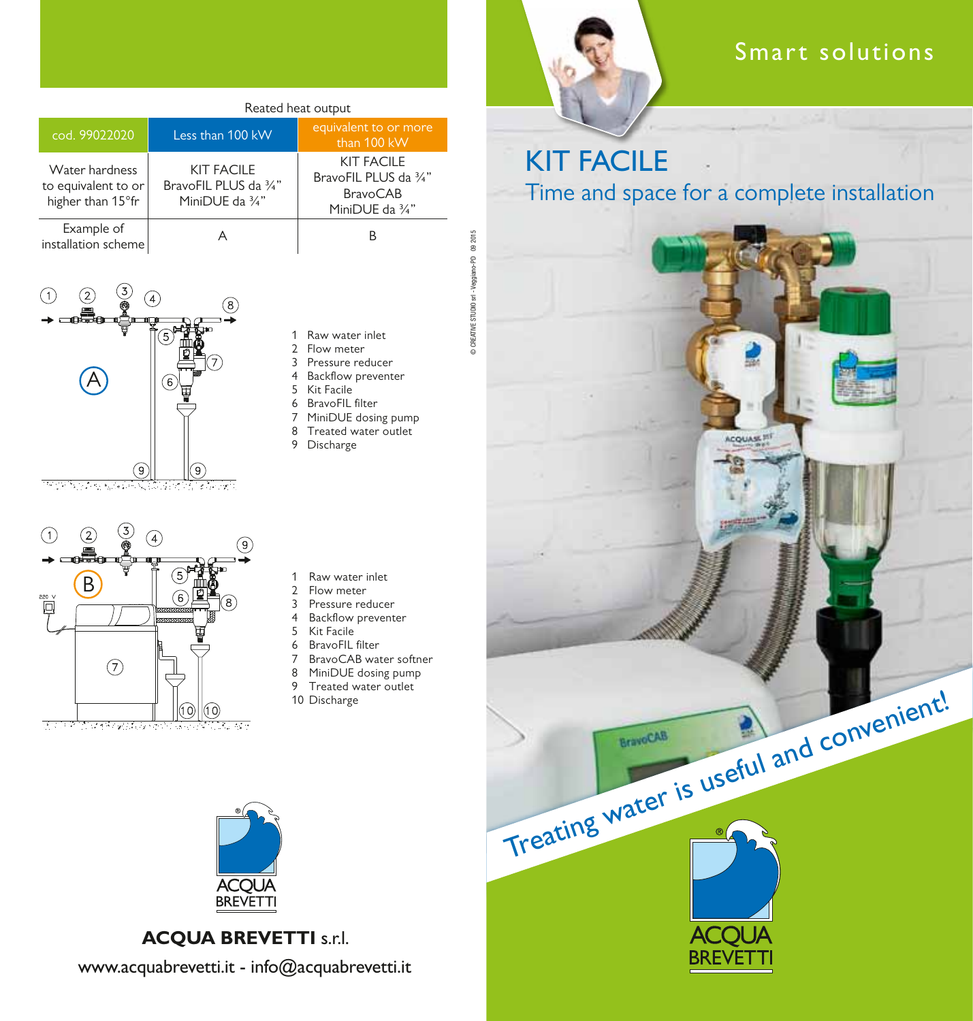### Smart solutions



## KIT FACILE Time and space for a complete installation

**ACQUASE PIT** 

Treating water is useful and convenient!

**BRFVF** 





Water hardness to equivalent to or



- 1 Raw water inlet 2 Flow meter 3 Pressure reducer 4 Backflow preventer 5 Kit Facile
- 6 BravoFIL filter

Reated heat output

cod. 99022020 Less than 100 kW equivalent to or more

KIT FACILE BravoFIL PLUS da ¾"

- 7 MiniDUE dosing pump
- 8 Treated water outlet
- 9 Discharge

- 1 Raw water inlet
- 2 Flow meter 3 Pressure reducer
- 4 Backflow preventer
- 5 Kit Facile
- 6 BravoFIL filter<br>7 BravoCAB water
- BravoCAB water softner
- 8 MiniDUE dosing pump
- 9 Treated water outlet
- 10 Discharge



#### www.acquabrevetti.it - info@acquabrevetti.it **ACQUA BREVETTI** s.r.l.

than 100 kW

KIT FACILE BravoFIL PLUS da ¾" BravoCAB

© CREATIVE STUDIO srl - Veggiano-PD 09 2015

CREATIVE STUDIO srl -

092015 Veggiano-PD

- 
-